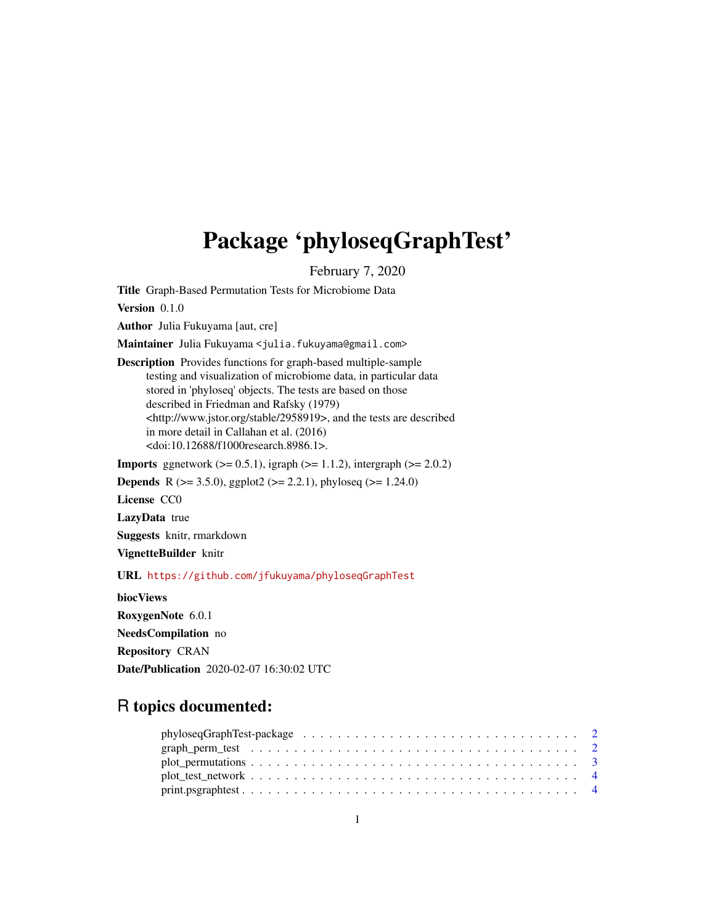## <span id="page-0-0"></span>Package 'phyloseqGraphTest'

February 7, 2020

Title Graph-Based Permutation Tests for Microbiome Data

Version 0.1.0

Author Julia Fukuyama [aut, cre]

Maintainer Julia Fukuyama <julia.fukuyama@gmail.com>

Description Provides functions for graph-based multiple-sample testing and visualization of microbiome data, in particular data stored in 'phyloseq' objects. The tests are based on those described in Friedman and Rafsky (1979) <http://www.jstor.org/stable/2958919>, and the tests are described in more detail in Callahan et al. (2016) <doi:10.12688/f1000research.8986.1>.

**Imports** ggnetwork  $(>= 0.5.1)$ , igraph  $(>= 1.1.2)$ , intergraph  $(>= 2.0.2)$ 

**Depends** R ( $>= 3.5.0$ ), ggplot2 ( $>= 2.2.1$ ), phyloseq ( $>= 1.24.0$ )

License CC0

LazyData true

Suggests knitr, rmarkdown

VignetteBuilder knitr

URL <https://github.com/jfukuyama/phyloseqGraphTest>

biocViews RoxygenNote 6.0.1 NeedsCompilation no Repository CRAN Date/Publication 2020-02-07 16:30:02 UTC

### R topics documented: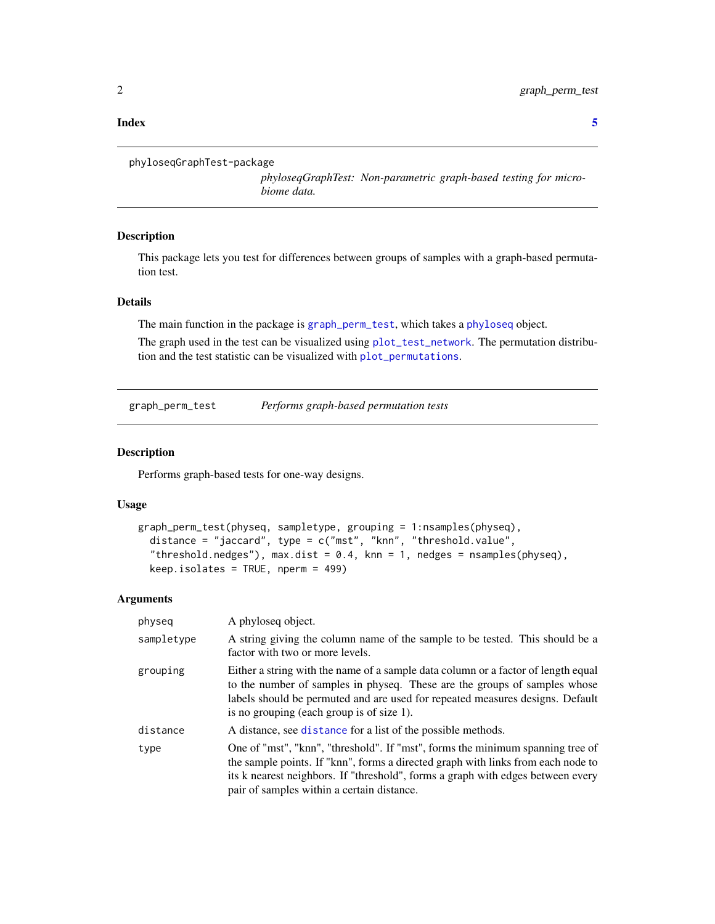#### <span id="page-1-0"></span>**Index** [5](#page-4-0). The second state of the second state of the second state of the second state of the second state of the second state of the second state of the second state of the second state of the second state of the second

```
phyloseqGraphTest-package
```
*phyloseqGraphTest: Non-parametric graph-based testing for microbiome data.*

#### Description

This package lets you test for differences between groups of samples with a graph-based permutation test.

#### Details

The main function in the package is [graph\\_perm\\_test](#page-1-1), which takes a [phyloseq](#page-0-0) object.

The graph used in the test can be visualized using [plot\\_test\\_network](#page-3-1). The permutation distribution and the test statistic can be visualized with [plot\\_permutations](#page-2-1).

<span id="page-1-1"></span>graph\_perm\_test *Performs graph-based permutation tests*

#### Description

Performs graph-based tests for one-way designs.

#### Usage

```
graph_perm_test(physeq, sampletype, grouping = 1:nsamples(physeq),
 distance = "jaccard", type = c("mst", "knn", "threshold.value",
  "threshold.nedges"), max.dist = 0.4, knn = 1, nedges = nsamples(physeq),
 keep.isolates = TRUE, nperm = 499)
```
#### Arguments

| physeq     | A phyloseq object.                                                                                                                                                                                                                                                                                  |
|------------|-----------------------------------------------------------------------------------------------------------------------------------------------------------------------------------------------------------------------------------------------------------------------------------------------------|
| sampletype | A string giving the column name of the sample to be tested. This should be a<br>factor with two or more levels.                                                                                                                                                                                     |
| grouping   | Either a string with the name of a sample data column or a factor of length equal<br>to the number of samples in physeq. These are the groups of samples whose<br>labels should be permuted and are used for repeated measures designs. Default<br>is no grouping (each group is of size 1).        |
| distance   | A distance, see distance for a list of the possible methods.                                                                                                                                                                                                                                        |
| type       | One of "mst", "knn", "threshold". If "mst", forms the minimum spanning tree of<br>the sample points. If "knn", forms a directed graph with links from each node to<br>its k nearest neighbors. If "threshold", forms a graph with edges between every<br>pair of samples within a certain distance. |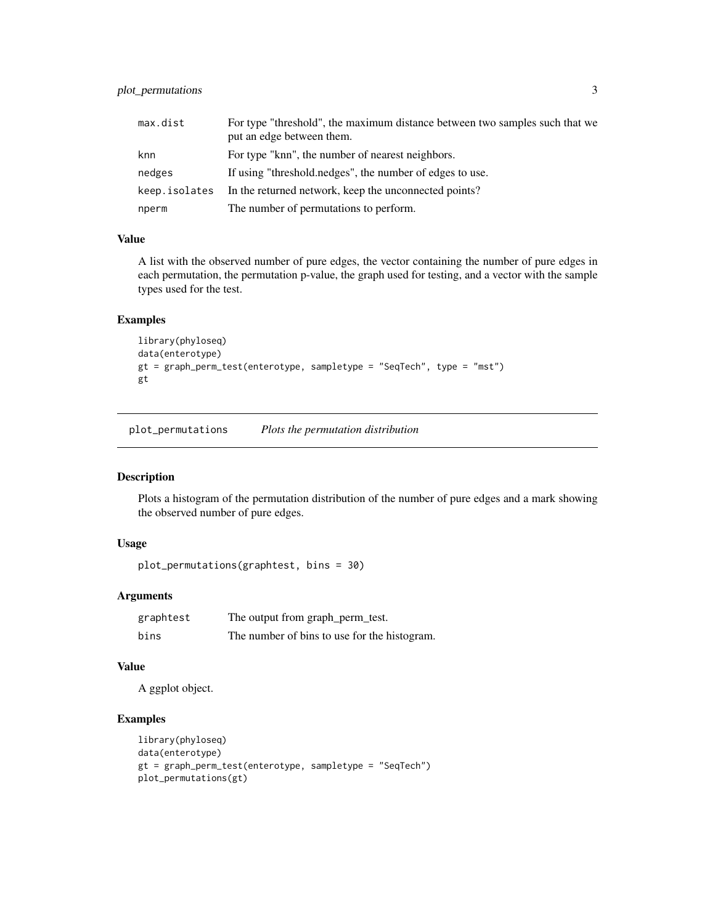<span id="page-2-0"></span>

| max.dist      | For type "threshold", the maximum distance between two samples such that we |
|---------------|-----------------------------------------------------------------------------|
|               | put an edge between them.                                                   |
| knn           | For type "knn", the number of nearest neighbors.                            |
| nedges        | If using "threshold.nedges", the number of edges to use.                    |
| keep.isolates | In the returned network, keep the unconnected points?                       |
| nperm         | The number of permutations to perform.                                      |

#### Value

A list with the observed number of pure edges, the vector containing the number of pure edges in each permutation, the permutation p-value, the graph used for testing, and a vector with the sample types used for the test.

#### Examples

```
library(phyloseq)
data(enterotype)
gt = graph_perm_test(enterotype, sampletype = "SeqTech", type = "mst")
gt
```
<span id="page-2-1"></span>plot\_permutations *Plots the permutation distribution*

#### Description

Plots a histogram of the permutation distribution of the number of pure edges and a mark showing the observed number of pure edges.

#### Usage

```
plot_permutations(graphtest, bins = 30)
```
#### Arguments

| graphtest | The output from graph_perm_test.             |
|-----------|----------------------------------------------|
| bins      | The number of bins to use for the histogram. |

#### Value

A ggplot object.

#### Examples

```
library(phyloseq)
data(enterotype)
gt = graph_perm_test(enterotype, sampletype = "SeqTech")
plot_permutations(gt)
```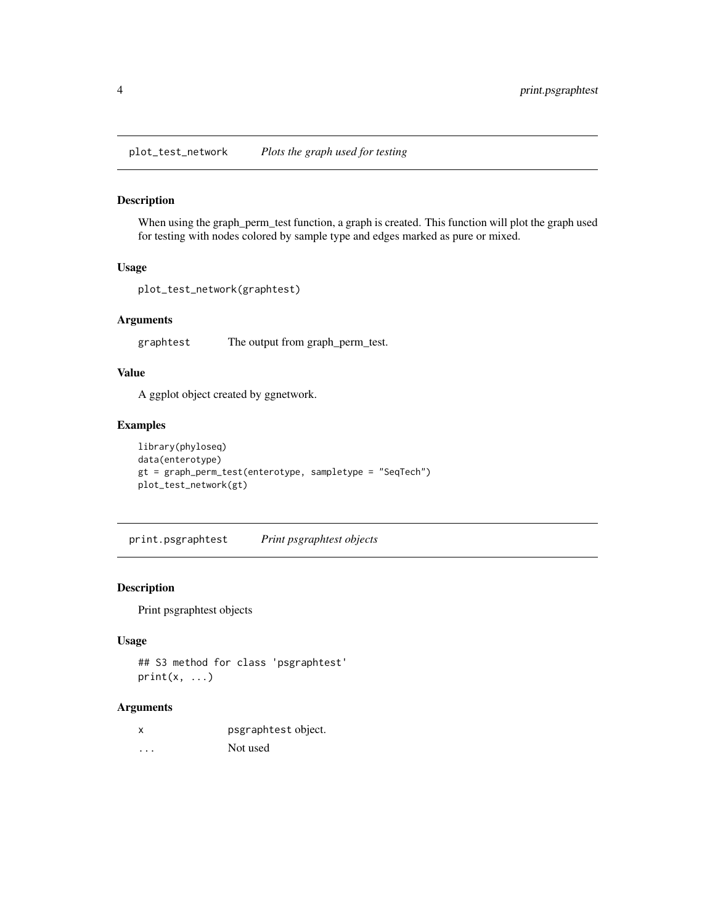<span id="page-3-1"></span><span id="page-3-0"></span>plot\_test\_network *Plots the graph used for testing*

#### Description

When using the graph\_perm\_test function, a graph is created. This function will plot the graph used for testing with nodes colored by sample type and edges marked as pure or mixed.

#### Usage

```
plot_test_network(graphtest)
```
#### Arguments

graphtest The output from graph\_perm\_test.

#### Value

A ggplot object created by ggnetwork.

#### Examples

```
library(phyloseq)
data(enterotype)
gt = graph_perm_test(enterotype, sampletype = "SeqTech")
plot_test_network(gt)
```
print.psgraphtest *Print psgraphtest objects*

#### Description

Print psgraphtest objects

#### Usage

```
## S3 method for class 'psgraphtest'
print(x, \ldots)
```
#### Arguments

| x        | psgraphtest object. |
|----------|---------------------|
| $\cdots$ | Not used            |